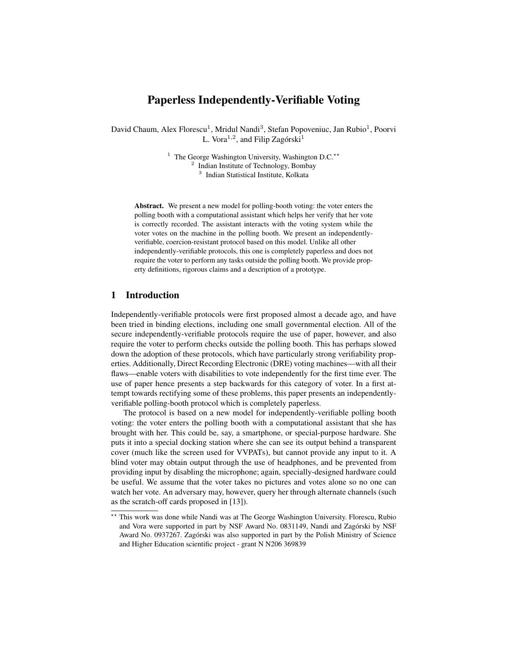# Paperless Independently-Verifiable Voting

David Chaum, Alex Florescu<sup>1</sup>, Mridul Nandi<sup>3</sup>, Stefan Popoveniuc, Jan Rubio<sup>1</sup>, Poorvi L. Vora $^{1,2}$ , and Filip Zagórski $^1$ 

> <sup>1</sup> The George Washington University, Washington D.C.<sup>\*\*</sup> 2 Indian Institute of Technology, Bombay 3 Indian Statistical Institute, Kolkata

Abstract. We present a new model for polling-booth voting: the voter enters the polling booth with a computational assistant which helps her verify that her vote is correctly recorded. The assistant interacts with the voting system while the voter votes on the machine in the polling booth. We present an independentlyverifiable, coercion-resistant protocol based on this model. Unlike all other independently-verifiable protocols, this one is completely paperless and does not require the voter to perform any tasks outside the polling booth. We provide property definitions, rigorous claims and a description of a prototype.

# 1 Introduction

Independently-verifiable protocols were first proposed almost a decade ago, and have been tried in binding elections, including one small governmental election. All of the secure independently-verifiable protocols require the use of paper, however, and also require the voter to perform checks outside the polling booth. This has perhaps slowed down the adoption of these protocols, which have particularly strong verifiability properties. Additionally, Direct Recording Electronic (DRE) voting machines—with all their flaws—enable voters with disabilities to vote independently for the first time ever. The use of paper hence presents a step backwards for this category of voter. In a first attempt towards rectifying some of these problems, this paper presents an independentlyverifiable polling-booth protocol which is completely paperless.

The protocol is based on a new model for independently-verifiable polling booth voting: the voter enters the polling booth with a computational assistant that she has brought with her. This could be, say, a smartphone, or special-purpose hardware. She puts it into a special docking station where she can see its output behind a transparent cover (much like the screen used for VVPATs), but cannot provide any input to it. A blind voter may obtain output through the use of headphones, and be prevented from providing input by disabling the microphone; again, specially-designed hardware could be useful. We assume that the voter takes no pictures and votes alone so no one can watch her vote. An adversary may, however, query her through alternate channels (such as the scratch-off cards proposed in [13]).

<sup>\*\*</sup> This work was done while Nandi was at The George Washington University. Florescu, Rubio and Vora were supported in part by NSF Award No. 0831149, Nandi and Zagórski by NSF Award No. 0937267. Zagórski was also supported in part by the Polish Ministry of Science and Higher Education scientific project - grant N N206 369839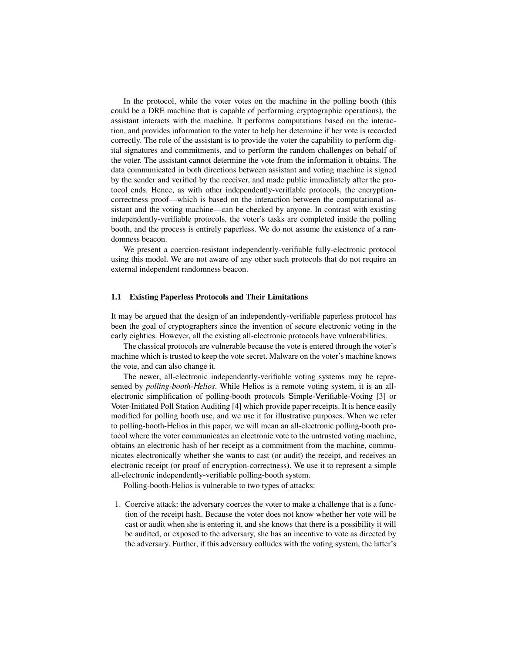In the protocol, while the voter votes on the machine in the polling booth (this could be a DRE machine that is capable of performing cryptographic operations), the assistant interacts with the machine. It performs computations based on the interaction, and provides information to the voter to help her determine if her vote is recorded correctly. The role of the assistant is to provide the voter the capability to perform digital signatures and commitments, and to perform the random challenges on behalf of the voter. The assistant cannot determine the vote from the information it obtains. The data communicated in both directions between assistant and voting machine is signed by the sender and verified by the receiver, and made public immediately after the protocol ends. Hence, as with other independently-verifiable protocols, the encryptioncorrectness proof—which is based on the interaction between the computational assistant and the voting machine—can be checked by anyone. In contrast with existing independently-verifiable protocols, the voter's tasks are completed inside the polling booth, and the process is entirely paperless. We do not assume the existence of a randomness beacon.

We present a coercion-resistant independently-verifiable fully-electronic protocol using this model. We are not aware of any other such protocols that do not require an external independent randomness beacon.

#### 1.1 Existing Paperless Protocols and Their Limitations

It may be argued that the design of an independently-verifiable paperless protocol has been the goal of cryptographers since the invention of secure electronic voting in the early eighties. However, all the existing all-electronic protocols have vulnerabilities.

The classical protocols are vulnerable because the vote is entered through the voter's machine which is trusted to keep the vote secret. Malware on the voter's machine knows the vote, and can also change it.

The newer, all-electronic independently-verifiable voting systems may be represented by *polling-booth-Helios*. While Helios is a remote voting system, it is an allelectronic simplification of polling-booth protocols Simple-Verifiable-Voting [3] or Voter-Initiated Poll Station Auditing [4] which provide paper receipts. It is hence easily modified for polling booth use, and we use it for illustrative purposes. When we refer to polling-booth-Helios in this paper, we will mean an all-electronic polling-booth protocol where the voter communicates an electronic vote to the untrusted voting machine, obtains an electronic hash of her receipt as a commitment from the machine, communicates electronically whether she wants to cast (or audit) the receipt, and receives an electronic receipt (or proof of encryption-correctness). We use it to represent a simple all-electronic independently-verifiable polling-booth system.

Polling-booth-Helios is vulnerable to two types of attacks:

1. Coercive attack: the adversary coerces the voter to make a challenge that is a function of the receipt hash. Because the voter does not know whether her vote will be cast or audit when she is entering it, and she knows that there is a possibility it will be audited, or exposed to the adversary, she has an incentive to vote as directed by the adversary. Further, if this adversary colludes with the voting system, the latter's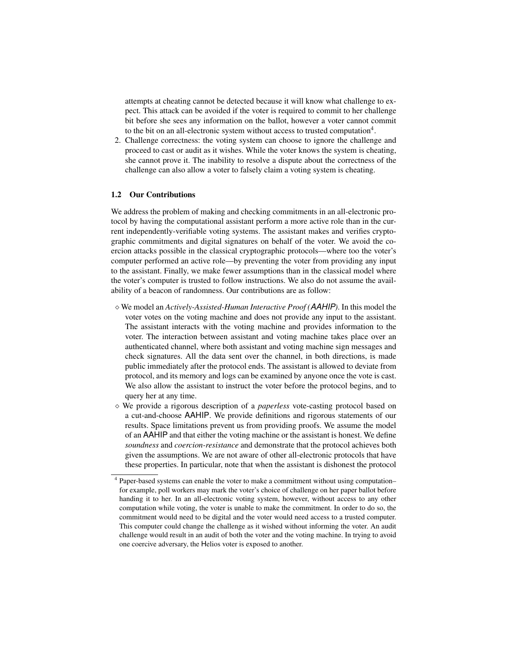attempts at cheating cannot be detected because it will know what challenge to expect. This attack can be avoided if the voter is required to commit to her challenge bit before she sees any information on the ballot, however a voter cannot commit to the bit on an all-electronic system without access to trusted computation $4$ .

2. Challenge correctness: the voting system can choose to ignore the challenge and proceed to cast or audit as it wishes. While the voter knows the system is cheating, she cannot prove it. The inability to resolve a dispute about the correctness of the challenge can also allow a voter to falsely claim a voting system is cheating.

## 1.2 Our Contributions

We address the problem of making and checking commitments in an all-electronic protocol by having the computational assistant perform a more active role than in the current independently-verifiable voting systems. The assistant makes and verifies cryptographic commitments and digital signatures on behalf of the voter. We avoid the coercion attacks possible in the classical cryptographic protocols—where too the voter's computer performed an active role—by preventing the voter from providing any input to the assistant. Finally, we make fewer assumptions than in the classical model where the voter's computer is trusted to follow instructions. We also do not assume the availability of a beacon of randomness. Our contributions are as follow:

- We model an *Actively-Assisted-Human Interactive Proof (AAHIP)*. In this model the voter votes on the voting machine and does not provide any input to the assistant. The assistant interacts with the voting machine and provides information to the voter. The interaction between assistant and voting machine takes place over an authenticated channel, where both assistant and voting machine sign messages and check signatures. All the data sent over the channel, in both directions, is made public immediately after the protocol ends. The assistant is allowed to deviate from protocol, and its memory and logs can be examined by anyone once the vote is cast. We also allow the assistant to instruct the voter before the protocol begins, and to query her at any time.
- We provide a rigorous description of a *paperless* vote-casting protocol based on a cut-and-choose AAHIP. We provide definitions and rigorous statements of our results. Space limitations prevent us from providing proofs. We assume the model of an AAHIP and that either the voting machine or the assistant is honest. We define *soundness* and *coercion-resistance* and demonstrate that the protocol achieves both given the assumptions. We are not aware of other all-electronic protocols that have these properties. In particular, note that when the assistant is dishonest the protocol

<sup>&</sup>lt;sup>4</sup> Paper-based systems can enable the voter to make a commitment without using computation– for example, poll workers may mark the voter's choice of challenge on her paper ballot before handing it to her. In an all-electronic voting system, however, without access to any other computation while voting, the voter is unable to make the commitment. In order to do so, the commitment would need to be digital and the voter would need access to a trusted computer. This computer could change the challenge as it wished without informing the voter. An audit challenge would result in an audit of both the voter and the voting machine. In trying to avoid one coercive adversary, the Helios voter is exposed to another.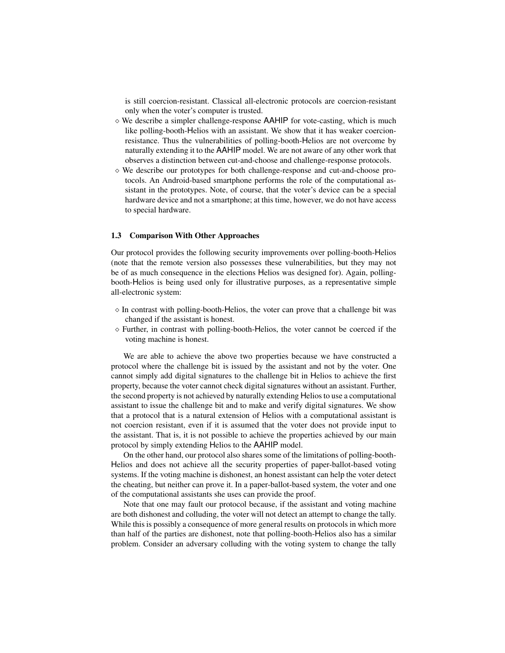is still coercion-resistant. Classical all-electronic protocols are coercion-resistant only when the voter's computer is trusted.

- $\Diamond$  We describe a simpler challenge-response AAHIP for vote-casting, which is much like polling-booth-Helios with an assistant. We show that it has weaker coercionresistance. Thus the vulnerabilities of polling-booth-Helios are not overcome by naturally extending it to the AAHIP model. We are not aware of any other work that observes a distinction between cut-and-choose and challenge-response protocols.
- $\Diamond$  We describe our prototypes for both challenge-response and cut-and-choose protocols. An Android-based smartphone performs the role of the computational assistant in the prototypes. Note, of course, that the voter's device can be a special hardware device and not a smartphone; at this time, however, we do not have access to special hardware.

#### 1.3 Comparison With Other Approaches

Our protocol provides the following security improvements over polling-booth-Helios (note that the remote version also possesses these vulnerabilities, but they may not be of as much consequence in the elections Helios was designed for). Again, pollingbooth-Helios is being used only for illustrative purposes, as a representative simple all-electronic system:

- $\Diamond$  In contrast with polling-booth-Helios, the voter can prove that a challenge bit was changed if the assistant is honest.
- $\Diamond$  Further, in contrast with polling-booth-Helios, the voter cannot be coerced if the voting machine is honest.

We are able to achieve the above two properties because we have constructed a protocol where the challenge bit is issued by the assistant and not by the voter. One cannot simply add digital signatures to the challenge bit in Helios to achieve the first property, because the voter cannot check digital signatures without an assistant. Further, the second property is not achieved by naturally extending Helios to use a computational assistant to issue the challenge bit and to make and verify digital signatures. We show that a protocol that is a natural extension of Helios with a computational assistant is not coercion resistant, even if it is assumed that the voter does not provide input to the assistant. That is, it is not possible to achieve the properties achieved by our main protocol by simply extending Helios to the AAHIP model.

On the other hand, our protocol also shares some of the limitations of polling-booth-Helios and does not achieve all the security properties of paper-ballot-based voting systems. If the voting machine is dishonest, an honest assistant can help the voter detect the cheating, but neither can prove it. In a paper-ballot-based system, the voter and one of the computational assistants she uses can provide the proof.

Note that one may fault our protocol because, if the assistant and voting machine are both dishonest and colluding, the voter will not detect an attempt to change the tally. While this is possibly a consequence of more general results on protocols in which more than half of the parties are dishonest, note that polling-booth-Helios also has a similar problem. Consider an adversary colluding with the voting system to change the tally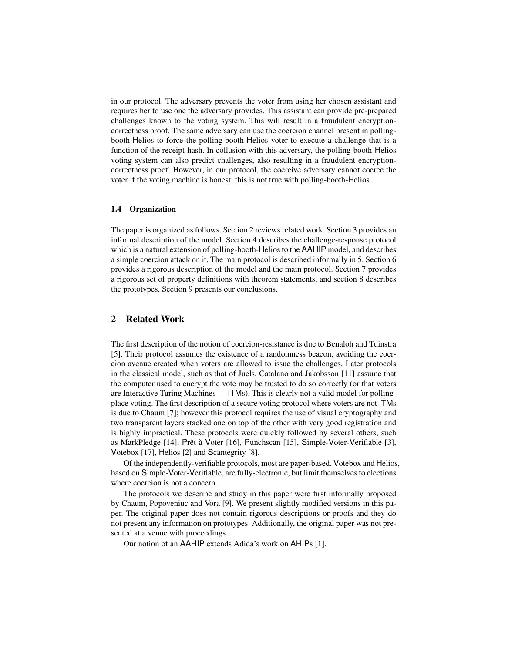in our protocol. The adversary prevents the voter from using her chosen assistant and requires her to use one the adversary provides. This assistant can provide pre-prepared challenges known to the voting system. This will result in a fraudulent encryptioncorrectness proof. The same adversary can use the coercion channel present in pollingbooth-Helios to force the polling-booth-Helios voter to execute a challenge that is a function of the receipt-hash. In collusion with this adversary, the polling-booth-Helios voting system can also predict challenges, also resulting in a fraudulent encryptioncorrectness proof. However, in our protocol, the coercive adversary cannot coerce the voter if the voting machine is honest; this is not true with polling-booth-Helios.

## 1.4 Organization

The paper is organized as follows. Section 2 reviews related work. Section 3 provides an informal description of the model. Section 4 describes the challenge-response protocol which is a natural extension of polling-booth-Helios to the AAHIP model, and describes a simple coercion attack on it. The main protocol is described informally in 5. Section 6 provides a rigorous description of the model and the main protocol. Section 7 provides a rigorous set of property definitions with theorem statements, and section 8 describes the prototypes. Section 9 presents our conclusions.

# 2 Related Work

The first description of the notion of coercion-resistance is due to Benaloh and Tuinstra [5]. Their protocol assumes the existence of a randomness beacon, avoiding the coercion avenue created when voters are allowed to issue the challenges. Later protocols in the classical model, such as that of Juels, Catalano and Jakobsson [11] assume that the computer used to encrypt the vote may be trusted to do so correctly (or that voters are Interactive Turing Machines — ITMs). This is clearly not a valid model for pollingplace voting. The first description of a secure voting protocol where voters are not ITMs is due to Chaum [7]; however this protocol requires the use of visual cryptography and two transparent layers stacked one on top of the other with very good registration and is highly impractical. These protocols were quickly followed by several others, such as MarkPledge [14], Prêt à Voter [16], Punchscan [15], Simple-Voter-Verifiable [3], Votebox [17], Helios [2] and Scantegrity [8].

Of the independently-verifiable protocols, most are paper-based. Votebox and Helios, based on Simple-Voter-Verifiable, are fully-electronic, but limit themselves to elections where coercion is not a concern.

The protocols we describe and study in this paper were first informally proposed by Chaum, Popoveniuc and Vora [9]. We present slightly modified versions in this paper. The original paper does not contain rigorous descriptions or proofs and they do not present any information on prototypes. Additionally, the original paper was not presented at a venue with proceedings.

Our notion of an AAHIP extends Adida's work on AHIPs [1].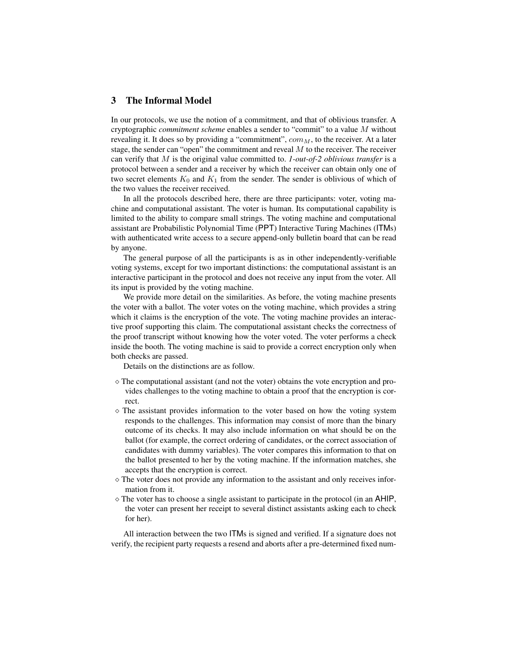# 3 The Informal Model

In our protocols, we use the notion of a commitment, and that of oblivious transfer. A cryptographic *commitment scheme* enables a sender to "commit" to a value M without revealing it. It does so by providing a "commitment",  $com_M$ , to the receiver. At a later stage, the sender can "open" the commitment and reveal  $M$  to the receiver. The receiver can verify that M is the original value committed to. *1-out-of-2 oblivious transfer* is a protocol between a sender and a receiver by which the receiver can obtain only one of two secret elements  $K_0$  and  $K_1$  from the sender. The sender is oblivious of which of the two values the receiver received.

In all the protocols described here, there are three participants: voter, voting machine and computational assistant. The voter is human. Its computational capability is limited to the ability to compare small strings. The voting machine and computational assistant are Probabilistic Polynomial Time (PPT) Interactive Turing Machines (ITMs) with authenticated write access to a secure append-only bulletin board that can be read by anyone.

The general purpose of all the participants is as in other independently-verifiable voting systems, except for two important distinctions: the computational assistant is an interactive participant in the protocol and does not receive any input from the voter. All its input is provided by the voting machine.

We provide more detail on the similarities. As before, the voting machine presents the voter with a ballot. The voter votes on the voting machine, which provides a string which it claims is the encryption of the vote. The voting machine provides an interactive proof supporting this claim. The computational assistant checks the correctness of the proof transcript without knowing how the voter voted. The voter performs a check inside the booth. The voting machine is said to provide a correct encryption only when both checks are passed.

Details on the distinctions are as follow.

- $\Diamond$  The computational assistant (and not the voter) obtains the vote encryption and provides challenges to the voting machine to obtain a proof that the encryption is correct.
- $\Diamond$  The assistant provides information to the voter based on how the voting system responds to the challenges. This information may consist of more than the binary outcome of its checks. It may also include information on what should be on the ballot (for example, the correct ordering of candidates, or the correct association of candidates with dummy variables). The voter compares this information to that on the ballot presented to her by the voting machine. If the information matches, she accepts that the encryption is correct.
- $\Diamond$  The voter does not provide any information to the assistant and only receives information from it.
- $\Diamond$  The voter has to choose a single assistant to participate in the protocol (in an AHIP, the voter can present her receipt to several distinct assistants asking each to check for her).

All interaction between the two ITMs is signed and verified. If a signature does not verify, the recipient party requests a resend and aborts after a pre-determined fixed num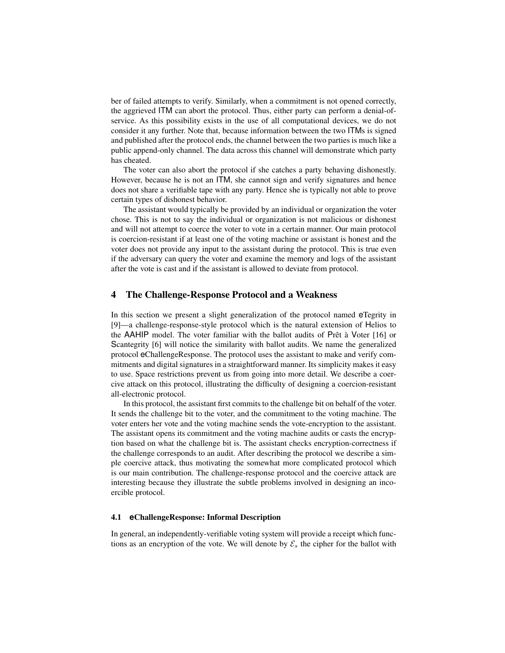ber of failed attempts to verify. Similarly, when a commitment is not opened correctly, the aggrieved ITM can abort the protocol. Thus, either party can perform a denial-ofservice. As this possibility exists in the use of all computational devices, we do not consider it any further. Note that, because information between the two ITMs is signed and published after the protocol ends, the channel between the two parties is much like a public append-only channel. The data across this channel will demonstrate which party has cheated.

The voter can also abort the protocol if she catches a party behaving dishonestly. However, because he is not an ITM, she cannot sign and verify signatures and hence does not share a verifiable tape with any party. Hence she is typically not able to prove certain types of dishonest behavior.

The assistant would typically be provided by an individual or organization the voter chose. This is not to say the individual or organization is not malicious or dishonest and will not attempt to coerce the voter to vote in a certain manner. Our main protocol is coercion-resistant if at least one of the voting machine or assistant is honest and the voter does not provide any input to the assistant during the protocol. This is true even if the adversary can query the voter and examine the memory and logs of the assistant after the vote is cast and if the assistant is allowed to deviate from protocol.

# 4 The Challenge-Response Protocol and a Weakness

In this section we present a slight generalization of the protocol named eTegrity in [9]—a challenge-response-style protocol which is the natural extension of Helios to the AAHIP model. The voter familiar with the ballot audits of Prêt à Voter [16] or Scantegrity [6] will notice the similarity with ballot audits. We name the generalized protocol eChallengeResponse. The protocol uses the assistant to make and verify commitments and digital signatures in a straightforward manner. Its simplicity makes it easy to use. Space restrictions prevent us from going into more detail. We describe a coercive attack on this protocol, illustrating the difficulty of designing a coercion-resistant all-electronic protocol.

In this protocol, the assistant first commits to the challenge bit on behalf of the voter. It sends the challenge bit to the voter, and the commitment to the voting machine. The voter enters her vote and the voting machine sends the vote-encryption to the assistant. The assistant opens its commitment and the voting machine audits or casts the encryption based on what the challenge bit is. The assistant checks encryption-correctness if the challenge corresponds to an audit. After describing the protocol we describe a simple coercive attack, thus motivating the somewhat more complicated protocol which is our main contribution. The challenge-response protocol and the coercive attack are interesting because they illustrate the subtle problems involved in designing an incoercible protocol.

## 4.1 **e**ChallengeResponse: Informal Description

In general, an independently-verifiable voting system will provide a receipt which functions as an encryption of the vote. We will denote by  $\mathcal{E}_s$  the cipher for the ballot with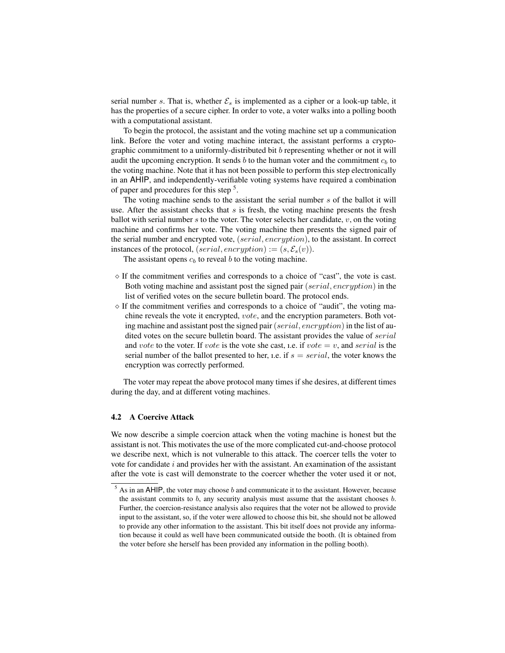serial number s. That is, whether  $\mathcal{E}_s$  is implemented as a cipher or a look-up table, it has the properties of a secure cipher. In order to vote, a voter walks into a polling booth with a computational assistant.

To begin the protocol, the assistant and the voting machine set up a communication link. Before the voter and voting machine interact, the assistant performs a cryptographic commitment to a uniformly-distributed bit b representing whether or not it will audit the upcoming encryption. It sends b to the human voter and the commitment  $c<sub>b</sub>$  to the voting machine. Note that it has not been possible to perform this step electronically in an AHIP, and independently-verifiable voting systems have required a combination of paper and procedures for this step<sup>5</sup>.

The voting machine sends to the assistant the serial number s of the ballot it will use. After the assistant checks that  $s$  is fresh, the voting machine presents the fresh ballot with serial number s to the voter. The voter selects her candidate,  $v$ , on the voting machine and confirms her vote. The voting machine then presents the signed pair of the serial number and encrypted vote, (serial, encryption), to the assistant. In correct instances of the protocol, (serial, encryption) :=  $(s, \mathcal{E}_s(v))$ .

The assistant opens  $c<sub>b</sub>$  to reveal b to the voting machine.

- $\Diamond$  If the commitment verifies and corresponds to a choice of "cast", the vote is cast. Both voting machine and assistant post the signed pair (serial, encryption) in the list of verified votes on the secure bulletin board. The protocol ends.
- $\Diamond$  If the commitment verifies and corresponds to a choice of "audit", the voting machine reveals the vote it encrypted, vote, and the encryption parameters. Both voting machine and assistant post the signed pair  $(serial, encryption)$  in the list of audited votes on the secure bulletin board. The assistant provides the value of serial and vote to the voter. If vote is the vote she cast, i.e. if vote  $v$ , and serial is the serial number of the ballot presented to her, i.e. if  $s = serial$ , the voter knows the encryption was correctly performed.

The voter may repeat the above protocol many times if she desires, at different times during the day, and at different voting machines.

# 4.2 A Coercive Attack

We now describe a simple coercion attack when the voting machine is honest but the assistant is not. This motivates the use of the more complicated cut-and-choose protocol we describe next, which is not vulnerable to this attack. The coercer tells the voter to vote for candidate  $i$  and provides her with the assistant. An examination of the assistant after the vote is cast will demonstrate to the coercer whether the voter used it or not,

 $<sup>5</sup>$  As in an AHIP, the voter may choose b and communicate it to the assistant. However, because</sup> the assistant commits to  $b$ , any security analysis must assume that the assistant chooses  $b$ . Further, the coercion-resistance analysis also requires that the voter not be allowed to provide input to the assistant, so, if the voter were allowed to choose this bit, she should not be allowed to provide any other information to the assistant. This bit itself does not provide any information because it could as well have been communicated outside the booth. (It is obtained from the voter before she herself has been provided any information in the polling booth).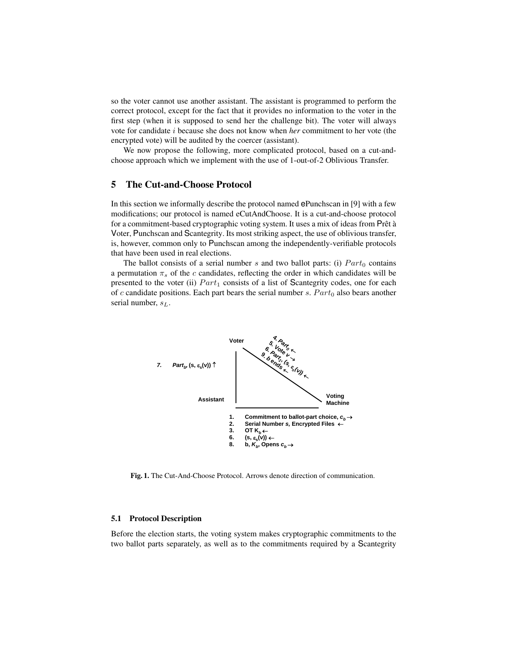so the voter cannot use another assistant. The assistant is programmed to perform the correct protocol, except for the fact that it provides no information to the voter in the first step (when it is supposed to send her the challenge bit). The voter will always vote for candidate i because she does not know when *her* commitment to her vote (the encrypted vote) will be audited by the coercer (assistant).

We now propose the following, more complicated protocol, based on a cut-andchoose approach which we implement with the use of 1-out-of-2 Oblivious Transfer.

# 5 The Cut-and-Choose Protocol

In this section we informally describe the protocol named ePunchscan in [9] with a few modifications; our protocol is named eCutAndChoose. It is a cut-and-choose protocol for a commitment-based cryptographic voting system. It uses a mix of ideas from Prêt à Voter, Punchscan and Scantegrity. Its most striking aspect, the use of oblivious transfer, is, however, common only to Punchscan among the independently-verifiable protocols that have been used in real elections.

The ballot consists of a serial number s and two ballot parts: (i)  $Part_0$  contains a permutation  $\pi_s$  of the c candidates, reflecting the order in which candidates will be presented to the voter (ii)  $Part_1$  consists of a list of Scantegrity codes, one for each of c candidate positions. Each part bears the serial number s.  $Part_0$  also bears another serial number,  $s_L$ .



Fig. 1. The Cut-And-Choose Protocol. Arrows denote direction of communication.

#### 5.1 Protocol Description

Before the election starts, the voting system makes cryptographic commitments to the two ballot parts separately, as well as to the commitments required by a Scantegrity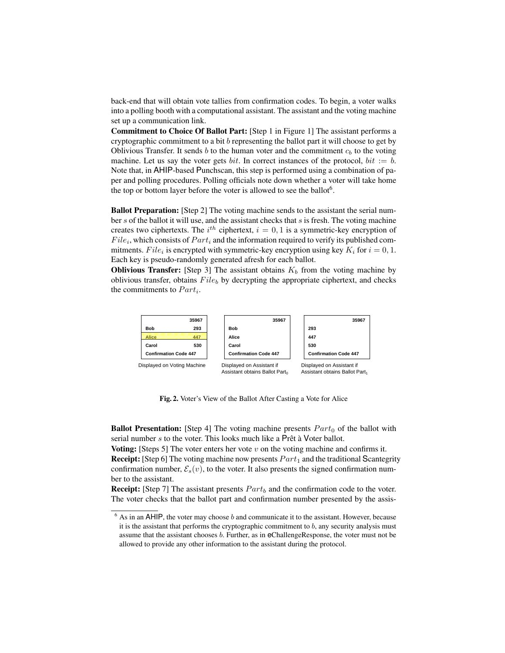back-end that will obtain vote tallies from confirmation codes. To begin, a voter walks into a polling booth with a computational assistant. The assistant and the voting machine set up a communication link.

Commitment to Choice Of Ballot Part: [Step 1 in Figure 1] The assistant performs a cryptographic commitment to a bit b representing the ballot part it will choose to get by Oblivious Transfer. It sends b to the human voter and the commitment  $c<sub>b</sub>$  to the voting machine. Let us say the voter gets bit. In correct instances of the protocol, bit := b. Note that, in AHIP-based Punchscan, this step is performed using a combination of paper and polling procedures. Polling officials note down whether a voter will take home the top or bottom layer before the voter is allowed to see the ballot<sup>6</sup>.

**Ballot Preparation:** [Step 2] The voting machine sends to the assistant the serial number s of the ballot it will use, and the assistant checks that s is fresh. The voting machine creates two ciphertexts. The  $i^{th}$  ciphertext,  $i = 0, 1$  is a symmetric-key encryption of  $File_i$ , which consists of  $Part_i$  and the information required to verify its published commitments. *File<sub>i</sub>* is encrypted with symmetric-key encryption using key  $K_i$  for  $i = 0, 1$ . Each key is pseudo-randomly generated afresh for each ballot.

**Oblivious Transfer:** [Step 3] The assistant obtains  $K_b$  from the voting machine by oblivious transfer, obtains  $File_b$  by decrypting the appropriate ciphertext, and checks the commitments to  $Part_i$ .



Fig. 2. Voter's View of the Ballot After Casting a Vote for Alice

**Ballot Presentation:** [Step 4] The voting machine presents  $Part_0$  of the ballot with serial number s to the voter. This looks much like a Prêt à Voter ballot.

Voting: [Steps 5] The voter enters her vote  $v$  on the voting machine and confirms it. **Receipt:** [Step 6] The voting machine now presents  $Part_1$  and the traditional Scantegrity confirmation number,  $\mathcal{E}_s(v)$ , to the voter. It also presents the signed confirmation number to the assistant.

**Receipt:** [Step 7] The assistant presents  $Part_b$  and the confirmation code to the voter. The voter checks that the ballot part and confirmation number presented by the assis-

 $6$  As in an AHIP, the voter may choose b and communicate it to the assistant. However, because it is the assistant that performs the cryptographic commitment to b, any security analysis must assume that the assistant chooses b. Further, as in eChallengeResponse, the voter must not be allowed to provide any other information to the assistant during the protocol.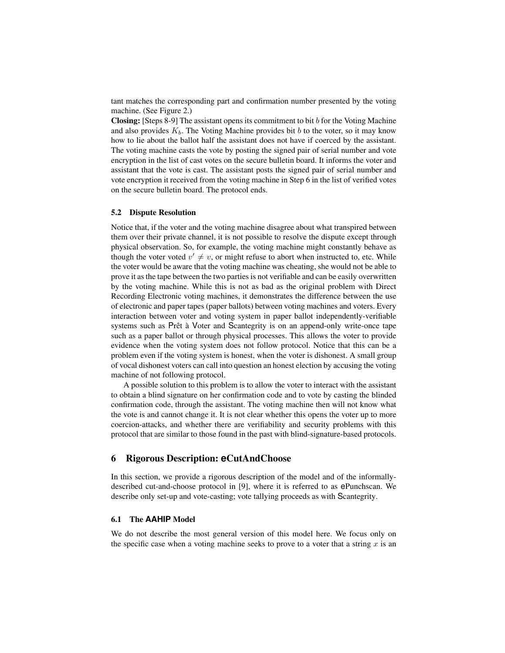tant matches the corresponding part and confirmation number presented by the voting machine. (See Figure 2.)

**Closing:** [Steps 8-9] The assistant opens its commitment to bit b for the Voting Machine and also provides  $K_b$ . The Voting Machine provides bit b to the voter, so it may know how to lie about the ballot half the assistant does not have if coerced by the assistant. The voting machine casts the vote by posting the signed pair of serial number and vote encryption in the list of cast votes on the secure bulletin board. It informs the voter and assistant that the vote is cast. The assistant posts the signed pair of serial number and vote encryption it received from the voting machine in Step 6 in the list of verified votes on the secure bulletin board. The protocol ends.

## 5.2 Dispute Resolution

Notice that, if the voter and the voting machine disagree about what transpired between them over their private channel, it is not possible to resolve the dispute except through physical observation. So, for example, the voting machine might constantly behave as though the voter voted  $v' \neq v$ , or might refuse to abort when instructed to, etc. While the voter would be aware that the voting machine was cheating, she would not be able to prove it as the tape between the two parties is not verifiable and can be easily overwritten by the voting machine. While this is not as bad as the original problem with Direct Recording Electronic voting machines, it demonstrates the difference between the use of electronic and paper tapes (paper ballots) between voting machines and voters. Every interaction between voter and voting system in paper ballot independently-verifiable systems such as Prêt à Voter and Scantegrity is on an append-only write-once tape such as a paper ballot or through physical processes. This allows the voter to provide evidence when the voting system does not follow protocol. Notice that this can be a problem even if the voting system is honest, when the voter is dishonest. A small group of vocal dishonest voters can call into question an honest election by accusing the voting machine of not following protocol.

A possible solution to this problem is to allow the voter to interact with the assistant to obtain a blind signature on her confirmation code and to vote by casting the blinded confirmation code, through the assistant. The voting machine then will not know what the vote is and cannot change it. It is not clear whether this opens the voter up to more coercion-attacks, and whether there are verifiability and security problems with this protocol that are similar to those found in the past with blind-signature-based protocols.

# 6 Rigorous Description: **e**CutAndChoose

In this section, we provide a rigorous description of the model and of the informallydescribed cut-and-choose protocol in [9], where it is referred to as ePunchscan. We describe only set-up and vote-casting; vote tallying proceeds as with Scantegrity.

## 6.1 The **AAHIP** Model

We do not describe the most general version of this model here. We focus only on the specific case when a voting machine seeks to prove to a voter that a string  $x$  is an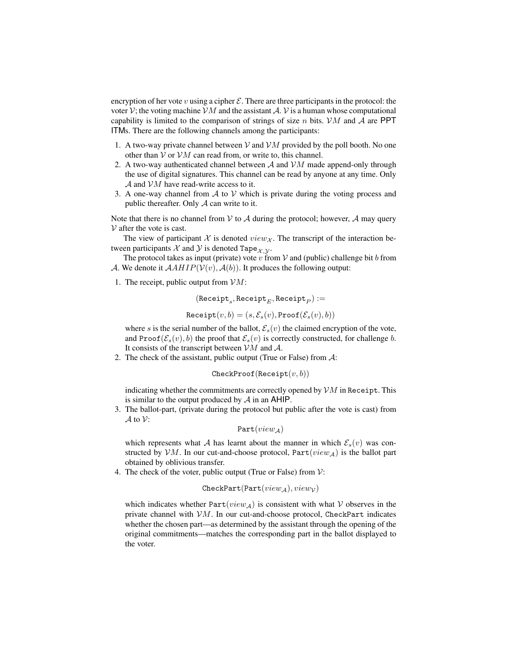encryption of her vote v using a cipher  $\mathcal{E}$ . There are three participants in the protocol: the voter V; the voting machine VM and the assistant A. V is a human whose computational capability is limited to the comparison of strings of size n bits.  $VM$  and A are PPT ITMs. There are the following channels among the participants:

- 1. A two-way private channel between  $V$  and  $VM$  provided by the poll booth. No one other than  $V$  or  $VM$  can read from, or write to, this channel.
- 2. A two-way authenticated channel between  $\mathcal A$  and  $\mathcal V\mathcal M$  made append-only through the use of digital signatures. This channel can be read by anyone at any time. Only  $\mathcal A$  and  $\mathcal V$ M have read-write access to it.
- 3. A one-way channel from  $A$  to  $V$  which is private during the voting process and public thereafter. Only  $A$  can write to it.

Note that there is no channel from V to A during the protocol; however, A may query  $V$  after the vote is cast.

The view of participant X is denoted  $view_{\mathcal{X}}$ . The transcript of the interaction between participants X and Y is denoted Tape $_{\mathcal{X}, \mathcal{Y}}$ .

The protocol takes as input (private) vote  $v$  from  $V$  and (public) challenge bit  $b$  from A. We denote it  $AAHIP(\mathcal{V}(v), \mathcal{A}(b))$ . It produces the following output:

1. The receipt, public output from  $VM$ :

 $(\mathtt{Recept}_s, \mathtt{Recept}_E, \mathtt{Recept}_P) :=$ 

$$
\mathtt{Recept}(v, b) = (s, \mathcal{E}_s(v), \mathtt{Proof}(\mathcal{E}_s(v), b))
$$

where s is the serial number of the ballot,  $\mathcal{E}_s(v)$  the claimed encryption of the vote, and Proof( $\mathcal{E}_s(v)$ , b) the proof that  $\mathcal{E}_s(v)$  is correctly constructed, for challenge b. It consists of the transcript between  $VM$  and  $A$ .

2. The check of the assistant, public output (True or False) from  $A$ :

 $CheckProof(Receipt(v, b))$ 

indicating whether the commitments are correctly opened by  $VM$  in Receipt. This is similar to the output produced by  $A$  in an AHIP.

3. The ballot-part, (private during the protocol but public after the vote is cast) from  $\mathcal A$  to  $\mathcal V$ :

Part( $view_A$ )

which represents what A has learnt about the manner in which  $\mathcal{E}_s(v)$  was constructed by  $VM$ . In our cut-and-choose protocol,  $Part(view_{\mathcal{A}})$  is the ballot part obtained by oblivious transfer.

4. The check of the voter, public output (True or False) from  $\mathcal{V}$ :

$$
\mathtt{CheckPart}(\mathtt{Part}(view_{\mathcal{A}}),view_{\mathcal{V}})
$$

which indicates whether Part(view<sub>A</sub>) is consistent with what V observes in the private channel with  $VM$ . In our cut-and-choose protocol, CheckPart indicates whether the chosen part—as determined by the assistant through the opening of the original commitments—matches the corresponding part in the ballot displayed to the voter.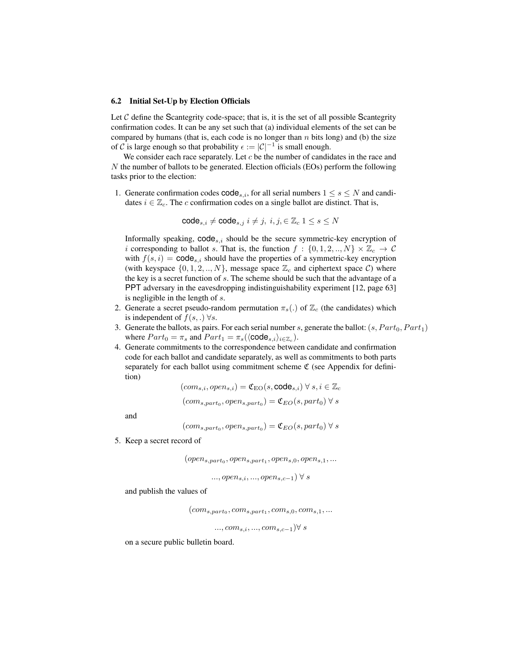#### 6.2 Initial Set-Up by Election Officials

Let  $C$  define the Scantegrity code-space; that is, it is the set of all possible Scantegrity confirmation codes. It can be any set such that (a) individual elements of the set can be compared by humans (that is, each code is no longer than  $n$  bits long) and (b) the size of C is large enough so that probability  $\epsilon := |\mathcal{C}|^{-1}$  is small enough.

We consider each race separately. Let  $c$  be the number of candidates in the race and N the number of ballots to be generated. Election officials (EOs) perform the following tasks prior to the election:

1. Generate confirmation codes  $\text{code}_{s,i}$ , for all serial numbers  $1 \leq s \leq N$  and candidates  $i \in \mathbb{Z}_c$ . The c confirmation codes on a single ballot are distinct. That is,

$$
\text{code}_{s,i} \neq \text{code}_{s,j} \ i \neq j, \ i,j, \in \mathbb{Z}_c \ 1 \leq s \leq N
$$

Informally speaking,  $\text{code}_{s,i}$  should be the secure symmetric-key encryption of i corresponding to ballot s. That is, the function  $f : \{0, 1, 2, \ldots, N\} \times \mathbb{Z}_c \to C$ with  $f(s, i) = \text{code}_{s,i}$  should have the properties of a symmetric-key encryption (with keyspace  $\{0, 1, 2, ..., N\}$ , message space  $\mathbb{Z}_c$  and ciphertext space C) where the key is a secret function of s. The scheme should be such that the advantage of a PPT adversary in the eavesdropping indistinguishability experiment [12, page 63] is negligible in the length of s.

- 2. Generate a secret pseudo-random permutation  $\pi_s(.)$  of  $\mathbb{Z}_c$  (the candidates) which is independent of  $f(s,.) \forall s$ .
- 3. Generate the ballots, as pairs. For each serial number s, generate the ballot:  $(s, Part_0, Part_1)$ where  $Part_0 = \pi_s$  and  $Part_1 = \pi_s(\langle \text{code}_{s,i} \rangle_{i \in \mathbb{Z}_c})$ .
- 4. Generate commitments to the correspondence between candidate and confirmation code for each ballot and candidate separately, as well as commitments to both parts separately for each ballot using commitment scheme  $\mathfrak C$  (see Appendix for definition)

$$
(com_{s,i}, open_{s,i}) = \mathfrak{C}_{EO}(s, code_{s,i}) \ \forall \ s, i \in \mathbb{Z}_c
$$

$$
(com_{s, part_0}, open_{s, part_0}) = \mathfrak{C}_{EO}(s, part_0) \ \forall \ s
$$

and

$$
(com_{s, part_0}, open_{s, part_0}) = \mathfrak{C}_{EO}(s, part_0) \ \forall \ s
$$

5. Keep a secret record of

$$
(open_{s, part_0}, open_{s, part_1}, open_{s,0}, open_{s,1}, \dots
$$

$$
..., open_{s,i}, ..., open_{s,c-1}) \forall s
$$

and publish the values of

$$
(com_{s, part_0}, com_{s, part_1}, com_{s,0}, com_{s,1}, \ldots
$$

$$
...,com_{s,i},...,com_{s,c-1}) \forall s
$$

on a secure public bulletin board.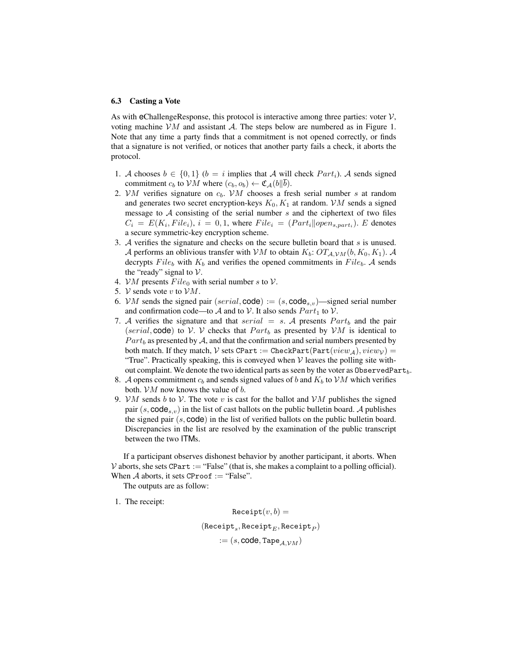#### 6.3 Casting a Vote

As with eChallengeResponse, this protocol is interactive among three parties: voter  $V$ , voting machine  $VM$  and assistant A. The steps below are numbered as in Figure 1. Note that any time a party finds that a commitment is not opened correctly, or finds that a signature is not verified, or notices that another party fails a check, it aborts the protocol.

- 1. A chooses  $b \in \{0, 1\}$  ( $b = i$  implies that A will check  $Part_i$ ). A sends signed commitment  $c_b$  to  $VM$  where  $(c_b, o_b) \leftarrow \mathfrak{C}_A(b||\overline{b}).$
- 2. VM verifies signature on  $c_b$ . VM chooses a fresh serial number s at random and generates two secret encryption-keys  $K_0, K_1$  at random.  $VM$  sends a signed message to  $A$  consisting of the serial number  $s$  and the ciphertext of two files  $C_i = E(K_i, File_i), i = 0, 1$ , where  $File_i = (Part_i || open_{s, part_i}).$  E denotes a secure symmetric-key encryption scheme.
- 3. A verifies the signature and checks on the secure bulletin board that s is unused. A performs an oblivious transfer with VM to obtain  $K_b$ :  $OT_{A,VM}(b, K_0, K_1)$ . A decrypts  $File_b$  with  $K_b$  and verifies the opened commitments in  $File_b$ . A sends the "ready" signal to  $V$ .
- 4. VM presents  $File_0$  with serial number s to V.
- 5.  $V$  sends vote v to  $VM$ .
- 6. VM sends the signed pair (serial, code) :=  $(s, \text{code}_{s,v})$ —signed serial number and confirmation code—to A and to V. It also sends  $Part_1$  to V.
- 7. A verifies the signature and that  $serial = s$ . A presents  $Part_b$  and the pair (serial, code) to V. V checks that  $Part_b$  as presented by VM is identical to  $Part_b$  as presented by  $A$ , and that the confirmation and serial numbers presented by both match. If they match, V sets CPart := CheckPart( $\text{Part}(view_A)$ ,  $view_V$ ) = "True". Practically speaking, this is conveyed when  $V$  leaves the polling site without complaint. We denote the two identical parts as seen by the voter as  $\theta$ bservedPart<sub>b</sub>.
- 8. A opens commitment  $c_b$  and sends signed values of b and  $K_b$  to VM which verifies both.  $VM$  now knows the value of  $b$ .
- 9. VM sends b to V. The vote v is cast for the ballot and VM publishes the signed pair  $(s, \text{code}_{s,v})$  in the list of cast ballots on the public bulletin board. A publishes the signed pair  $(s, \text{code})$  in the list of verified ballots on the public bulletin board. Discrepancies in the list are resolved by the examination of the public transcript between the two ITMs.

If a participant observes dishonest behavior by another participant, it aborts. When V aborts, she sets CPart := "False" (that is, she makes a complaint to a polling official). When  $A$  aborts, it sets CProof := "False".

The outputs are as follow:

1. The receipt:

$$
\begin{aligned} \text{Receipt}(v,b) = \\ (\text{Receipt}_s, \text{Receipt}_E, \text{Receipt}_P) \\ := (s, \text{code}, \text{Tape}_{\mathcal{A},\mathcal{V}M}) \end{aligned}
$$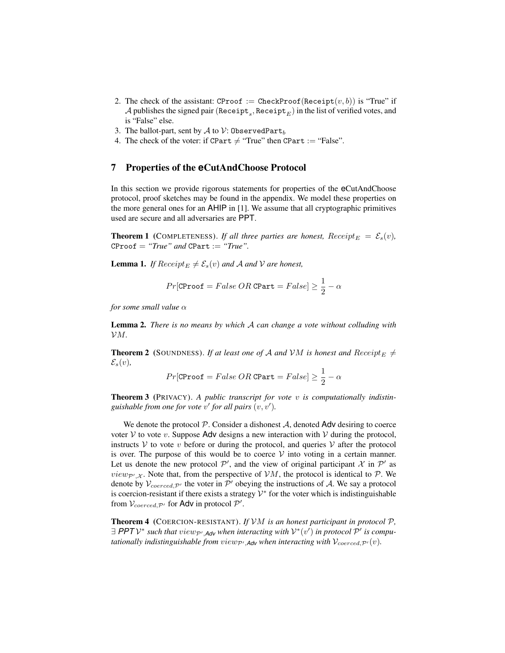- 2. The check of the assistant: CProof := CheckProof(Receipt $(v, b)$ ) is "True" if  ${\mathcal A}$  publishes the signed pair  $(\mathtt{Recept}_s,\mathtt{Recept}_E)$  in the list of verified votes, and is "False" else.
- 3. The ballot-part, sent by  $A$  to  $V$ : ObservedPart<sub>h</sub>
- 4. The check of the voter: if CPart  $\neq$  "True" then CPart := "False".

# 7 Properties of the **e**CutAndChoose Protocol

In this section we provide rigorous statements for properties of the eCutAndChoose protocol, proof sketches may be found in the appendix. We model these properties on the more general ones for an AHIP in [1]. We assume that all cryptographic primitives used are secure and all adversaries are PPT.

**Theorem 1** (COMPLETENESS). If all three parties are honest,  $Receipt_E = \mathcal{E}_s(v)$ , CProof = *"True" and* CPart := *"True".*

**Lemma 1.** *If*  $Receipt_{E} \neq \mathcal{E}_{s}(v)$  *and*  $\mathcal{A}$  *and*  $\mathcal{V}$  *are honest,* 

$$
Pr[\texttt{CProof} = False \ OR \ \texttt{CPart} = False] \geq \frac{1}{2} - \alpha
$$

*for some small value* α

Lemma 2. *There is no means by which* A *can change a vote without colluding with* VM*.*

**Theorem 2** (SOUNDNESS). If at least one of A and VM is honest and  $Receipt_{E} \neq$  $\mathcal{E}_s(v)$ ,

$$
Pr[\texttt{CProof} = False \ OR \ \texttt{CPart} = False] \ge \frac{1}{2} - \alpha
$$

Theorem 3 (PRIVACY). *A public transcript for vote* v *is computationally indistin*guishable from one for vote  $v'$  for all pairs  $(v, v')$ .

We denote the protocol  $\mathcal{P}$ . Consider a dishonest  $\mathcal{A}$ , denoted Adv desiring to coerce voter V to vote v. Suppose Adv designs a new interaction with V during the protocol, instructs  $V$  to vote  $v$  before or during the protocol, and queries  $V$  after the protocol is over. The purpose of this would be to coerce  $V$  into voting in a certain manner. Let us denote the new protocol  $\mathcal{P}'$ , and the view of original participant X in  $\mathcal{P}'$  as *view*<sub> $P', \chi$ </sub>. Note that, from the perspective of  $VM$ , the protocol is identical to P. We denote by  $V_{coerced, \mathcal{P}'}$  the voter in  $\mathcal{P}'$  obeying the instructions of A. We say a protocol is coercion-resistant if there exists a strategy  $\mathcal{V}^*$  for the voter which is indistinguishable from  $V_{coerced, P'}$  for Adv in protocol  $P'$ .

Theorem 4 (COERCION-RESISTANT). *If* VM *is an honest participant in protocol* P*,*  $\exists$  PPT  $\mathcal{V}^*$  such that  $view_{\mathcal{P}',\mathcal{A}dv}$  when interacting with  $\mathcal{V}^*(v')$  in protocol  $\mathcal{P}'$  is computationally indistinguishable from  $view_{\mathcal{P}',\mathsf{Adv}}$  when interacting with  $\mathcal{V}_{coerced,\mathcal{P}'}(v)$ .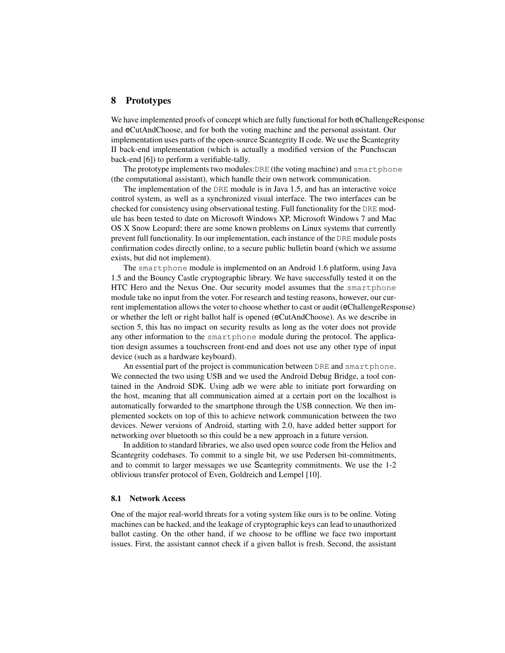## 8 Prototypes

We have implemented proofs of concept which are fully functional for both eChallengeResponse and eCutAndChoose, and for both the voting machine and the personal assistant. Our implementation uses parts of the open-source Scantegrity II code. We use the Scantegrity II back-end implementation (which is actually a modified version of the Punchscan back-end [6]) to perform a verifiable-tally.

The prototype implements two modules: DRE (the voting machine) and smartphone (the computational assistant), which handle their own network communication.

The implementation of the DRE module is in Java 1.5, and has an interactive voice control system, as well as a synchronized visual interface. The two interfaces can be checked for consistency using observational testing. Full functionality for the DRE module has been tested to date on Microsoft Windows XP, Microsoft Windows 7 and Mac OS X Snow Leopard; there are some known problems on Linux systems that currently prevent full functionality. In our implementation, each instance of the DRE module posts confirmation codes directly online, to a secure public bulletin board (which we assume exists, but did not implement).

The smartphone module is implemented on an Android 1.6 platform, using Java 1.5 and the Bouncy Castle cryptographic library. We have successfully tested it on the HTC Hero and the Nexus One. Our security model assumes that the smartphone module take no input from the voter. For research and testing reasons, however, our current implementation allows the voter to choose whether to cast or audit (eChallengeResponse) or whether the left or right ballot half is opened (eCutAndChoose). As we describe in section 5, this has no impact on security results as long as the voter does not provide any other information to the smartphone module during the protocol. The application design assumes a touchscreen front-end and does not use any other type of input device (such as a hardware keyboard).

An essential part of the project is communication between DRE and smartphone. We connected the two using USB and we used the Android Debug Bridge, a tool contained in the Android SDK. Using adb we were able to initiate port forwarding on the host, meaning that all communication aimed at a certain port on the localhost is automatically forwarded to the smartphone through the USB connection. We then implemented sockets on top of this to achieve network communication between the two devices. Newer versions of Android, starting with 2.0, have added better support for networking over bluetooth so this could be a new approach in a future version.

In addition to standard libraries, we also used open source code from the Helios and Scantegrity codebases. To commit to a single bit, we use Pedersen bit-commitments, and to commit to larger messages we use Scantegrity commitments. We use the 1-2 oblivious transfer protocol of Even, Goldreich and Lempel [10].

#### 8.1 Network Access

One of the major real-world threats for a voting system like ours is to be online. Voting machines can be hacked, and the leakage of cryptographic keys can lead to unauthorized ballot casting. On the other hand, if we choose to be offline we face two important issues. First, the assistant cannot check if a given ballot is fresh. Second, the assistant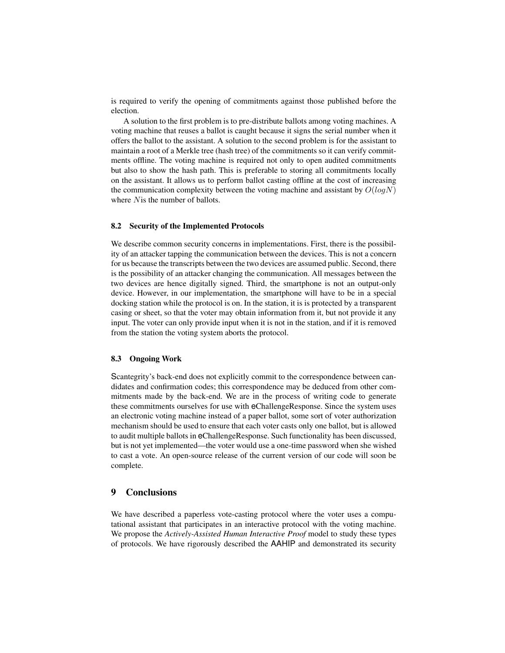is required to verify the opening of commitments against those published before the election.

A solution to the first problem is to pre-distribute ballots among voting machines. A voting machine that reuses a ballot is caught because it signs the serial number when it offers the ballot to the assistant. A solution to the second problem is for the assistant to maintain a root of a Merkle tree (hash tree) of the commitments so it can verify commitments offline. The voting machine is required not only to open audited commitments but also to show the hash path. This is preferable to storing all commitments locally on the assistant. It allows us to perform ballot casting offline at the cost of increasing the communication complexity between the voting machine and assistant by  $O(logN)$ where *N* is the number of ballots.

#### 8.2 Security of the Implemented Protocols

We describe common security concerns in implementations. First, there is the possibility of an attacker tapping the communication between the devices. This is not a concern for us because the transcripts between the two devices are assumed public. Second, there is the possibility of an attacker changing the communication. All messages between the two devices are hence digitally signed. Third, the smartphone is not an output-only device. However, in our implementation, the smartphone will have to be in a special docking station while the protocol is on. In the station, it is is protected by a transparent casing or sheet, so that the voter may obtain information from it, but not provide it any input. The voter can only provide input when it is not in the station, and if it is removed from the station the voting system aborts the protocol.

### 8.3 Ongoing Work

Scantegrity's back-end does not explicitly commit to the correspondence between candidates and confirmation codes; this correspondence may be deduced from other commitments made by the back-end. We are in the process of writing code to generate these commitments ourselves for use with eChallengeResponse. Since the system uses an electronic voting machine instead of a paper ballot, some sort of voter authorization mechanism should be used to ensure that each voter casts only one ballot, but is allowed to audit multiple ballots in eChallengeResponse. Such functionality has been discussed, but is not yet implemented—the voter would use a one-time password when she wished to cast a vote. An open-source release of the current version of our code will soon be complete.

### 9 Conclusions

We have described a paperless vote-casting protocol where the voter uses a computational assistant that participates in an interactive protocol with the voting machine. We propose the *Actively-Assisted Human Interactive Proof* model to study these types of protocols. We have rigorously described the AAHIP and demonstrated its security